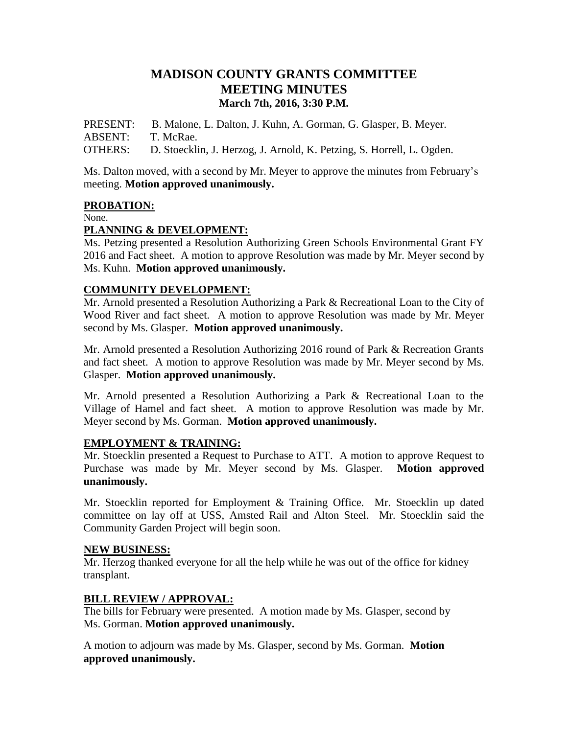# **MADISON COUNTY GRANTS COMMITTEE MEETING MINUTES March 7th, 2016, 3:30 P.M.**

PRESENT: B. Malone, L. Dalton, J. Kuhn, A. Gorman, G. Glasper, B. Meyer. ABSENT: T. McRae.

OTHERS: D. Stoecklin, J. Herzog, J. Arnold, K. Petzing, S. Horrell, L. Ogden.

Ms. Dalton moved, with a second by Mr. Meyer to approve the minutes from February's meeting. **Motion approved unanimously.**

## **PROBATION:**

None.

## **PLANNING & DEVELOPMENT:**

Ms. Petzing presented a Resolution Authorizing Green Schools Environmental Grant FY 2016 and Fact sheet. A motion to approve Resolution was made by Mr. Meyer second by Ms. Kuhn. **Motion approved unanimously.**

## **COMMUNITY DEVELOPMENT:**

Mr. Arnold presented a Resolution Authorizing a Park & Recreational Loan to the City of Wood River and fact sheet. A motion to approve Resolution was made by Mr. Meyer second by Ms. Glasper. **Motion approved unanimously.**

Mr. Arnold presented a Resolution Authorizing 2016 round of Park & Recreation Grants and fact sheet. A motion to approve Resolution was made by Mr. Meyer second by Ms. Glasper. **Motion approved unanimously.**

Mr. Arnold presented a Resolution Authorizing a Park & Recreational Loan to the Village of Hamel and fact sheet. A motion to approve Resolution was made by Mr. Meyer second by Ms. Gorman. **Motion approved unanimously.**

## **EMPLOYMENT & TRAINING:**

Mr. Stoecklin presented a Request to Purchase to ATT. A motion to approve Request to Purchase was made by Mr. Meyer second by Ms. Glasper. **Motion approved unanimously.**

Mr. Stoecklin reported for Employment & Training Office. Mr. Stoecklin up dated committee on lay off at USS, Amsted Rail and Alton Steel. Mr. Stoecklin said the Community Garden Project will begin soon.

### **NEW BUSINESS:**

Mr. Herzog thanked everyone for all the help while he was out of the office for kidney transplant.

## **BILL REVIEW / APPROVAL:**

The bills for February were presented. A motion made by Ms. Glasper, second by Ms. Gorman. **Motion approved unanimously.**

A motion to adjourn was made by Ms. Glasper, second by Ms. Gorman. **Motion approved unanimously.**